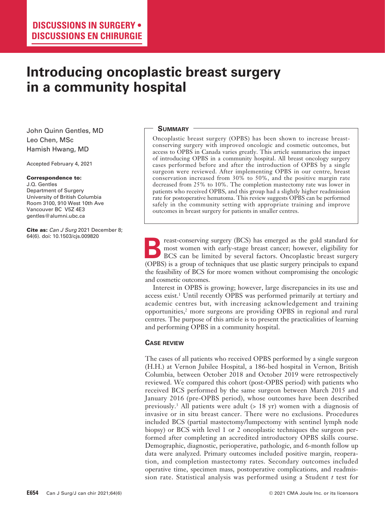# **Introducing oncoplastic breast surgery in a community hospital**

John Quinn Gentles, MD Leo Chen, MSc Hamish Hwang, MD

Accepted February 4, 2021

#### Correspondence to:

J.Q. Gentles Department of Surgery University of British Columbia Room 3100, 910 West 10th Ave Vancouver BC V5Z 4E3 gentles@alumni.ubc.ca

Cite as: *Can J Surg* 2021 December 8; 64(6). doi: 10.1503/cjs.009820

# **Summary**

Oncoplastic breast surgery (OPBS) has been shown to increase breastconserving surgery with improved oncologic and cosmetic outcomes, but access to OPBS in Canada varies greatly. This article summarizes the impact of introducing OPBS in a community hospital. All breast oncology surgery cases performed before and after the introduction of OPBS by a single surgeon were reviewed. After implementing OPBS in our centre, breast conservation increased from 30% to 50%, and the positive margin rate decreased from 25% to 10%. The completion mastectomy rate was lower in patients who received OPBS, and this group had a slightly higher readmission rate for postoperative hematoma. This review suggests OPBS can be performed safely in the community setting with appropriate training and improve outcomes in breast surgery for patients in smaller centres.

reast-conserving surgery (BCS) has emerged as the gold standard for most women with early-stage breast cancer; however, eligibility for BCS can be limited by several factors. Oncoplastic breast surgery (OPBS) is a group of techniques that use plastic surgery principals to expand the feasibility of BCS for more women without compromising the oncologic and cosmetic outcomes.

Interest in OPBS is growing; however, large discrepancies in its use and access exist.<sup>1</sup> Until recently OPBS was performed primarily at tertiary and academic centres but, with increasing acknowledgement and training opportunities,2 more surgeons are providing OPBS in regional and rural centres. The purpose of this article is to present the practicalities of learning and performing OPBS in a community hospital.

## **Case review**

The cases of all patients who received OPBS performed by a single surgeon (H.H.) at Vernon Jubilee Hospital, a 186-bed hospital in Vernon, British Columbia, between October 2018 and October 2019 were retrospectively reviewed. We compared this cohort (post-OPBS period) with patients who received BCS performed by the same surgeon between March 2015 and January 2016 (pre-OPBS period), whose outcomes have been described previously.3 All patients were adult (> 18 yr) women with a diagnosis of invasive or in situ breast cancer. There were no exclusions. Procedures included BCS (partial mastectomy/lumpectomy with sentinel lymph node biopsy) or BCS with level 1 or 2 oncoplastic techniques the surgeon performed after completing an accredited introductory OPBS skills course. Demographic, diagnostic, perioperative, pathologic, and 6-month follow up data were analyzed. Primary outcomes included positive margin, reoperation, and completion mastectomy rates. Secondary outcomes included operative time, specimen mass, postoperative complications, and readmission rate. Statistical analysis was performed using a Student *t* test for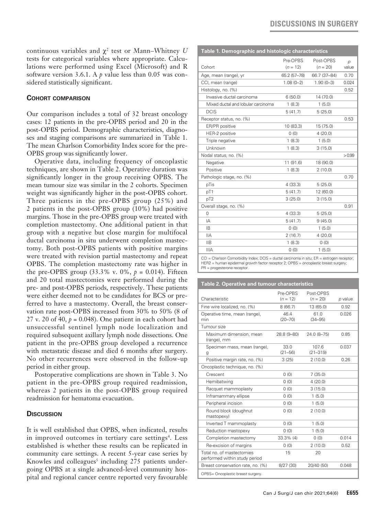continuous variables and  $\chi^2$  test or Mann–Whitney  $U$ tests for categorical variables where appropriate. Calculations were performed using Excel (Microsoft) and R software version 3.6.1. A *p* value less than 0.05 was considered statistically significant.

# **Cohort comparison**

Our comparison includes a total of 32 breast oncology cases: 12 patients in the pre-OPBS period and 20 in the post-OPBS period. Demographic characteristics, diagnoses and staging comparisons are summarized in Table 1. The mean Charlson Comorbidity Index score for the pre-OPBS group was significantly lower.

Operative data, including frequency of oncoplastic techniques, are shown in Table 2. Operative duration was significantly longer in the group receiving OPBS. The mean tumour size was similar in the 2 cohorts. Specimen weight was significantly higher in the post-OPBS cohort. Three patients in the pre-OPBS group (25%) and 2 patients in the post-OPBS group (10%) had positive margins. Those in the pre-OPBS group were treated with completion mastectomy. One additional patient in that group with a negative but close margin for multifocal ductal carcinoma in situ underwent completion mastectomy. Both post-OPBS patients with positive margins were treated with revision partial mastectomy and repeat OPBS. The completion mastectomy rate was higher in the pre-OPBS group  $(33.3\% \text{ v. } 0\%, p = 0.014)$ . Fifteen and 20 total mastectomies were performed during the pre- and post-OPBS periods, respectively. These patients were either deemed not to be candidates for BCS or preferred to have a mastectomy. Overall, the breast conservation rate post-OPBS increased from 30% to 50% (8 of 27 v. 20 of 40,  $p = 0.048$ ). One patient in each cohort had unsuccessful sentinel lymph node localization and required subsequent axillary lymph node dissections. One patient in the pre-OPBS group developed a recurrence with metastatic disease and died 6 months after surgery. No other recurrences were observed in the follow-up period in either group.

Postoperative complications are shown in Table 3. No patient in the pre-OPBS group required readmission, whereas 2 patients in the post-OPBS group required readmission for hematoma evacuation.

# **Discussion**

It is well established that OPBS, when indicated, results in improved outcomes in tertiary care settings<sup>4</sup>. Less established is whether these results can be replicated in community care settings. A recent 5-year case series by Knowles and colleagues<sup>5</sup> including  $275$  patients undergoing OPBS at a single advanced-level community hospital and regional cancer centre reported very favourable

| Table 1. Demographic and histologic characteristics                   |              |              |               |  |  |  |
|-----------------------------------------------------------------------|--------------|--------------|---------------|--|--|--|
|                                                                       | Pre-OPBS     | Post-OPBS    | $\mathcal{D}$ |  |  |  |
| Cohort                                                                | $(n = 12)$   | $(n = 20)$   | value         |  |  |  |
| Age, mean (range), yr                                                 | 65.2 (57-78) | 66.7 (37-84) | 0.70          |  |  |  |
| CCI, mean (range)                                                     | $1.08(0-2)$  | $1.90(0-3)$  | 0.024         |  |  |  |
| Histology, no. (%)                                                    |              |              | 0.52          |  |  |  |
| Invasive ductal carcinoma                                             | 6(50.0)      | 14 (70.0)    |               |  |  |  |
| Mixed ductal and lobular carcinoma                                    | 1(8.3)       | 1(5.0)       |               |  |  |  |
| <b>DCIS</b>                                                           | 5(41.7)      | 5(25.0)      |               |  |  |  |
| Receptor status, no. (%)                                              |              |              | 0.53          |  |  |  |
| ER/PR positive                                                        | 10 (83.3)    | 15 (75.0)    |               |  |  |  |
| HER-2 positive                                                        | 0(0)         | 4(20.0)      |               |  |  |  |
| Triple negative                                                       | 1(8.3)       | 1(5.0)       |               |  |  |  |
| Unknown                                                               | 1(8.3)       | 3(15.0)      |               |  |  |  |
| Nodal status, no. (%)                                                 |              |              | >0.99         |  |  |  |
| Negative                                                              | 11 (91.6)    | 18 (90.0)    |               |  |  |  |
| Positive                                                              | 1(8.3)       | 2(10.0)      |               |  |  |  |
| Pathologic stage, no. (%)                                             |              |              | 0.70          |  |  |  |
| pTis                                                                  | 4(33.3)      | 5(25.0)      |               |  |  |  |
| pT1                                                                   | 5(41.7)      | 12 (60.0)    |               |  |  |  |
| pT <sub>2</sub>                                                       | 3(25.0)      | 3(15.0)      |               |  |  |  |
| Overall stage, no. (%)                                                |              |              | 0.91          |  |  |  |
| $\Omega$                                                              | 4(33.3)      | 5(25.0)      |               |  |  |  |
| IA                                                                    | 5(41.7)      | 9(45.0)      |               |  |  |  |
| IB                                                                    | 0(0)         | 1(5.0)       |               |  |  |  |
| <b>IIA</b>                                                            | 2(16.7)      | 4(20.0)      |               |  |  |  |
| <b>IIB</b>                                                            | 1(8.3)       | 0(0)         |               |  |  |  |
| <b>IIIA</b>                                                           | 0(0)         | 1(5.0)       |               |  |  |  |
| COL Charles Conserbidity Index: DOC - disabel existence in situa ED - |              |              |               |  |  |  |

harlson Comorbidity Index; DCIS = ductal carcinoma in situ; ER = estrogen recep: HER2 = human epidermal growth factor receptor 2; OPBS = oncoplastic breast surgery; PR = progesterone receptor.

#### **Table 2. Operative and tumour characteristics**

|                                                            | Pre-OPBS            | Post-OPBS             |         |
|------------------------------------------------------------|---------------------|-----------------------|---------|
| Characteristic                                             | $(n = 12)$          | $(n = 20)$            | p value |
| Fine wire localized, no. (%)                               | 8(66.7)             | 13 (65.0)             | 0.92    |
| Operative time, mean (range),<br>min                       | 46.4<br>$(20 - 70)$ | 61.0<br>$(34 - 95)$   | 0.026   |
| Tumour size                                                |                     |                       |         |
| Maximum dimension, mean<br>(range), mm                     | 28.8 (9-80)         | 24.0 (8-75)           | 0.85    |
| Specimen mass, mean (range),<br>g                          | 33.0<br>$(21 - 56)$ | 107.6<br>$(21 - 319)$ | 0.037   |
| Positive margin rate, no. (%)                              | 3(25)               | 2(10.0)               | 0.26    |
| Oncoplastic technique, no. (%)                             |                     |                       |         |
| Crescent                                                   | 0(0)                | 7(35.0)               |         |
| Hemibatwing                                                | 0(0)                | 4(20.0)               |         |
| Racquet mammoplasty                                        | 0(0)                | 3(15.0)               |         |
| Inframammary ellipse                                       | 0(0)                | 1(5.0)                |         |
| Peripheral incision                                        | (0)                 | 1(5.0)                |         |
| Round block (doughnut<br>mastopexy)                        | 0(0)                | 2(10.0)               |         |
| Inverted T mammoplasty                                     | 0(0)                | 1(5.0)                |         |
| Reduction mastopexy                                        | (0)                 | 1(5.0)                |         |
| Completion mastectomy                                      | $33.3\%$ (4)        | 0(0)                  | 0.014   |
| Re-excision of margins                                     | 0(0)                | 2(10.0)               | 0.52    |
| Total no. of mastectomies<br>performed within study period | 15                  | 20                    |         |
| Breast conservation rate, no. (%)                          | 8/27 (30)           | 20/40 (50)            | 0.048   |
| OPBS= Oncoplastic breast surgery.                          |                     |                       |         |